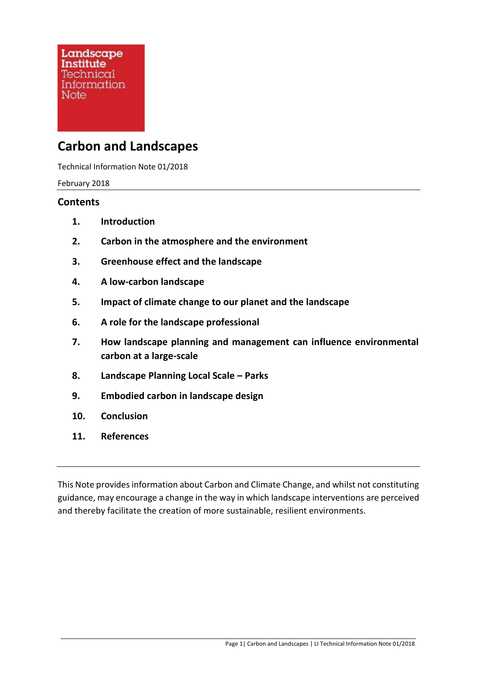# **Carbon and Landscapes**

Technical Information Note 01/2018

February 2018

#### **Contents**

- **1. Introduction**
- **2. Carbon in the atmosphere and the environment**
- **3. Greenhouse effect and the landscape**
- **4. A low-carbon landscape**
- **5. Impact of climate change to our planet and the landscape**
- **6. A role for the landscape professional**
- **7. How landscape planning and management can influence environmental carbon at a large-scale**
- **8. Landscape Planning Local Scale – Parks**
- **9. Embodied carbon in landscape design**
- **10. Conclusion**
- **11. References**

This Note provides information about Carbon and Climate Change, and whilst not constituting guidance, may encourage a change in the way in which landscape interventions are perceived and thereby facilitate the creation of more sustainable, resilient environments.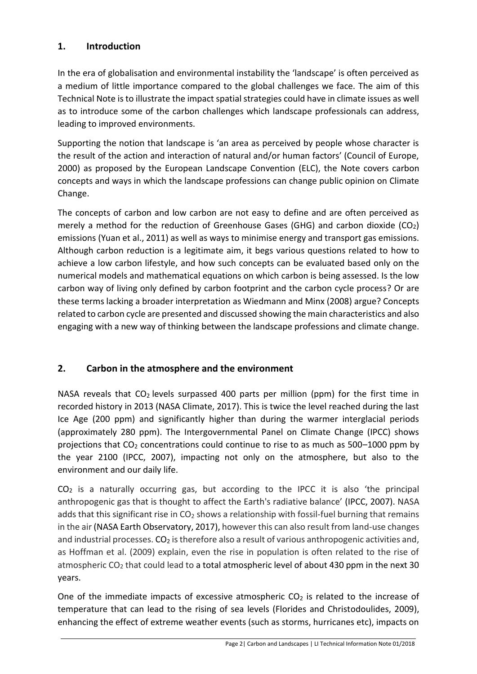#### **1. Introduction**

In the era of globalisation and environmental instability the 'landscape' is often perceived as a medium of little importance compared to the global challenges we face. The aim of this Technical Note is to illustrate the impact spatial strategies could have in climate issues as well as to introduce some of the carbon challenges which landscape professionals can address, leading to improved environments.

Supporting the notion that landscape is 'an area as perceived by people whose character is the result of the action and interaction of natural and/or human factors' (Council of Europe, 2000) as proposed by the European Landscape Convention (ELC), the Note covers carbon concepts and ways in which the landscape professions can change public opinion on Climate Change.

The concepts of carbon and low carbon are not easy to define and are often perceived as merely a method for the reduction of Greenhouse Gases (GHG) and carbon dioxide ( $CO<sub>2</sub>$ ) emissions (Yuan et al., 2011) as well as ways to minimise energy and transport gas emissions. Although carbon reduction is a legitimate aim, it begs various questions related to how to achieve a low carbon lifestyle, and how such concepts can be evaluated based only on the numerical models and mathematical equations on which carbon is being assessed. Is the low carbon way of living only defined by carbon footprint and the carbon cycle process? Or are these terms lacking a broader interpretation as Wiedmann and Minx (2008) argue? Concepts related to carbon cycle are presented and discussed showing the main characteristics and also engaging with a new way of thinking between the landscape professions and climate change.

# **2. Carbon in the atmosphere and the environment**

NASA reveals that  $CO<sub>2</sub>$  levels surpassed 400 parts per million (ppm) for the first time in recorded history in 2013 (NASA Climate, 2017). This is twice the level reached during the last Ice Age (200 ppm) and significantly higher than during the warmer interglacial periods (approximately 280 ppm). The Intergovernmental Panel on Climate Change (IPCC) shows projections that  $CO<sub>2</sub>$  concentrations could continue to rise to as much as 500–1000 ppm by the year 2100 (IPCC, 2007), impacting not only on the atmosphere, but also to the environment and our daily life.

CO<sup>2</sup> is a naturally occurring gas, but according to the IPCC it is also 'the principal anthropogenic gas that is thought to affect the Earth's radiative balance' (IPCC, 2007). NASA adds that this significant rise in  $CO<sub>2</sub>$  shows a relationship with fossil-fuel burning that remains in the air (NASA Earth Observatory, 2017), however this can also result from land-use changes and industrial processes.  $CO<sub>2</sub>$  is therefore also a result of various anthropogenic activities and, as Hoffman et al. (2009) explain, even the rise in population is often related to the rise of atmospheric CO<sub>2</sub> that could lead to a total atmospheric level of about 430 ppm in the next 30 years.

One of the immediate impacts of excessive atmospheric  $CO<sub>2</sub>$  is related to the increase of temperature that can lead to the rising of sea levels (Florides and Christodoulides, 2009), enhancing the effect of extreme weather events (such as storms, hurricanes etc), impacts on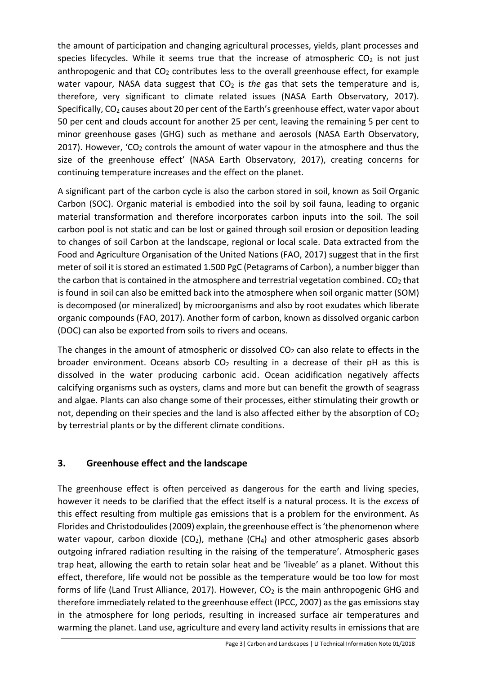the amount of participation and changing agricultural processes, yields, plant processes and species lifecycles. While it seems true that the increase of atmospheric  $CO<sub>2</sub>$  is not just anthropogenic and that  $CO<sub>2</sub>$  contributes less to the overall greenhouse effect, for example water vapour, NASA data suggest that CO<sub>2</sub> is *the* gas that sets the temperature and is, therefore, very significant to climate related issues (NASA Earth Observatory, 2017). Specifically, CO<sub>2</sub> causes about 20 per cent of the Earth's greenhouse effect, water vapor about 50 per cent and clouds account for another 25 per cent, leaving the remaining 5 per cent to minor greenhouse gases (GHG) such as methane and aerosols (NASA Earth Observatory, 2017). However, 'CO<sub>2</sub> controls the amount of water vapour in the atmosphere and thus the size of the greenhouse effect' (NASA Earth Observatory, 2017), creating concerns for continuing temperature increases and the effect on the planet.

A significant part of the carbon cycle is also the carbon stored in soil, known as Soil Organic Carbon (SOC). Organic material is embodied into the soil by soil fauna, leading to organic material transformation and therefore incorporates carbon inputs into the soil. The soil carbon pool is not static and can be lost or gained through soil erosion or deposition leading to changes of soil Carbon at the landscape, regional or local scale. Data extracted from the Food and Agriculture Organisation of the United Nations (FAO, 2017) suggest that in the first meter of soil it is stored an estimated 1.500 PgC (Petagrams of Carbon), a number bigger than the carbon that is contained in the atmosphere and terrestrial vegetation combined.  $CO<sub>2</sub>$  that is found in soil can also be emitted back into the atmosphere when soil organic matter (SOM) is decomposed (or mineralized) by microorganisms and also by root exudates which liberate organic compounds (FAO, 2017). Another form of carbon, known as dissolved organic carbon (DOC) can also be exported from soils to rivers and oceans.

The changes in the amount of atmospheric or dissolved  $CO<sub>2</sub>$  can also relate to effects in the broader environment. Oceans absorb  $CO<sub>2</sub>$  resulting in a decrease of their pH as this is dissolved in the water producing carbonic acid. Ocean acidification negatively affects calcifying organisms such as oysters, clams and more but can benefit the growth of seagrass and algae. Plants can also change some of their processes, either stimulating their growth or not, depending on their species and the land is also affected either by the absorption of  $CO<sub>2</sub>$ by terrestrial plants or by the different climate conditions.

#### **3. Greenhouse effect and the landscape**

The greenhouse effect is often perceived as dangerous for the earth and living species, however it needs to be clarified that the effect itself is a natural process. It is the *excess* of this effect resulting from multiple gas emissions that is a problem for the environment. As Florides and Christodoulides (2009) explain, the greenhouse effect is 'the phenomenon where water vapour, carbon dioxide ( $CO<sub>2</sub>$ ), methane ( $CH<sub>4</sub>$ ) and other atmospheric gases absorb outgoing infrared radiation resulting in the raising of the temperature'. Atmospheric gases trap heat, allowing the earth to retain solar heat and be 'liveable' as a planet. Without this effect, therefore, life would not be possible as the temperature would be too low for most forms of life (Land Trust Alliance, 2017). However, CO<sub>2</sub> is the main anthropogenic GHG and therefore immediately related to the greenhouse effect (IPCC, 2007) as the gas emissions stay in the atmosphere for long periods, resulting in increased surface air temperatures and warming the planet. Land use, agriculture and every land activity results in emissions that are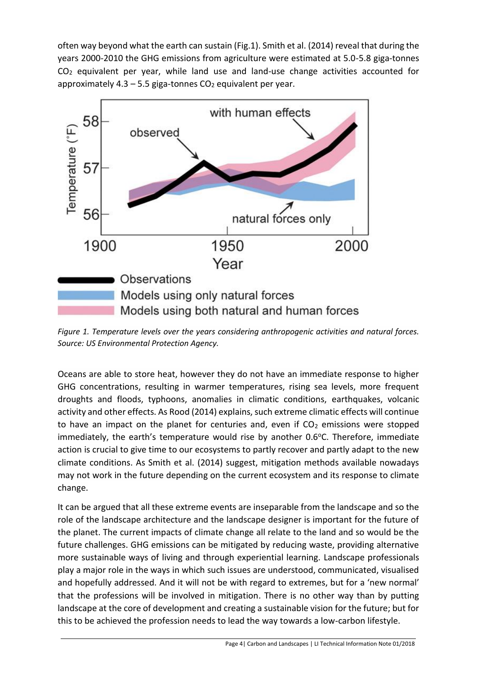often way beyond what the earth can sustain (Fig.1). Smith et al. (2014) reveal that during the years 2000-2010 the GHG emissions from agriculture were estimated at 5.0-5.8 giga-tonnes  $CO<sub>2</sub>$  equivalent per year, while land use and land-use change activities accounted for approximately  $4.3 - 5.5$  giga-tonnes  $CO<sub>2</sub>$  equivalent per year.



*Figure 1. Temperature levels over the years considering anthropogenic activities and natural forces. Source: US Environmental Protection Agency.* 

Oceans are able to store heat, however they do not have an immediate response to higher GHG concentrations, resulting in warmer temperatures, rising sea levels, more frequent droughts and floods, typhoons, anomalies in climatic conditions, earthquakes, volcanic activity and other effects. As Rood (2014) explains, such extreme climatic effects will continue to have an impact on the planet for centuries and, even if  $CO<sub>2</sub>$  emissions were stopped immediately, the earth's temperature would rise by another  $0.6$  °C. Therefore, immediate action is crucial to give time to our ecosystems to partly recover and partly adapt to the new climate conditions. As Smith et al. (2014) suggest, mitigation methods available nowadays may not work in the future depending on the current ecosystem and its response to climate change.

It can be argued that all these extreme events are inseparable from the landscape and so the role of the landscape architecture and the landscape designer is important for the future of the planet. The current impacts of climate change all relate to the land and so would be the future challenges. GHG emissions can be mitigated by reducing waste, providing alternative more sustainable ways of living and through experiential learning. Landscape professionals play a major role in the ways in which such issues are understood, communicated, visualised and hopefully addressed. And it will not be with regard to extremes, but for a 'new normal' that the professions will be involved in mitigation. There is no other way than by putting landscape at the core of development and creating a sustainable vision for the future; but for this to be achieved the profession needs to lead the way towards a low-carbon lifestyle.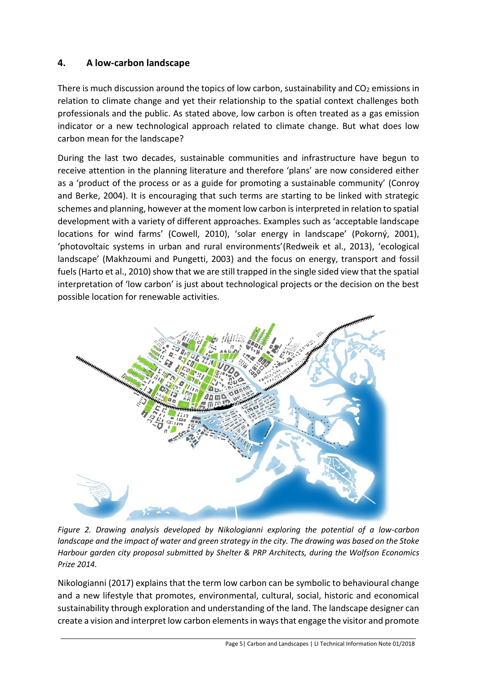# **4. A low-carbon landscape**

There is much discussion around the topics of low carbon, sustainability and  $CO<sub>2</sub>$  emissions in relation to climate change and yet their relationship to the spatial context challenges both professionals and the public. As stated above, low carbon is often treated as a gas emission indicator or a new technological approach related to climate change. But what does low carbon mean for the landscape?

During the last two decades, sustainable communities and infrastructure have begun to receive attention in the planning literature and therefore 'plans' are now considered either as a 'product of the process or as a guide for promoting a sustainable community' (Conroy and Berke, 2004). It is encouraging that such terms are starting to be linked with strategic schemes and planning, however at the moment low carbon is interpreted in relation to spatial development with a variety of different approaches. Examples such as 'acceptable landscape locations for wind farms' (Cowell, 2010), 'solar energy in landscape' (Pokorný, 2001), 'photovoltaic systems in urban and rural environments'(Redweik et al., 2013), 'ecological landscape' (Makhzoumi and Pungetti, 2003) and the focus on energy, transport and fossil fuels (Harto et al., 2010) show that we are still trapped in the single sided view that the spatial interpretation of 'low carbon' is just about technological projects or the decision on the best possible location for renewable activities.



*Figure 2. Drawing analysis developed by Nikologianni exploring the potential of a low-carbon landscape and the impact of water and green strategy in the city. The drawing was based on the Stoke Harbour garden city proposal submitted by Shelter & PRP Architects, during the Wolfson Economics Prize 2014.*

Nikologianni (2017) explains that the term low carbon can be symbolic to behavioural change and a new lifestyle that promotes, environmental, cultural, social, historic and economical sustainability through exploration and understanding of the land. The landscape designer can create a vision and interpret low carbon elements in ways that engage the visitor and promote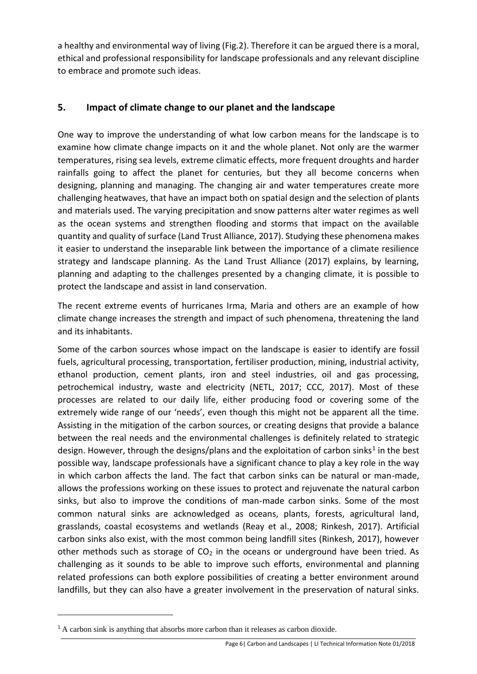a healthy and environmental way of living (Fig.2). Therefore it can be argued there is a moral, ethical and professional responsibility for landscape professionals and any relevant discipline to embrace and promote such ideas.

#### **5. Impact of climate change to our planet and the landscape**

One way to improve the understanding of what low carbon means for the landscape is to examine how climate change impacts on it and the whole planet. Not only are the warmer temperatures, rising sea levels, extreme climatic effects, more frequent droughts and harder rainfalls going to affect the planet for centuries, but they all become concerns when designing, planning and managing. The changing air and water temperatures create more challenging heatwaves, that have an impact both on spatial design and the selection of plants and materials used. The varying precipitation and snow patterns alter water regimes as well as the ocean systems and strengthen flooding and storms that impact on the available quantity and quality of surface (Land Trust Alliance, 2017). Studying these phenomena makes it easier to understand the inseparable link between the importance of a climate resilience strategy and landscape planning. As the Land Trust Alliance (2017) explains, by learning, planning and adapting to the challenges presented by a changing climate, it is possible to protect the landscape and assist in land conservation.

The recent extreme events of hurricanes Irma, Maria and others are an example of how climate change increases the strength and impact of such phenomena, threatening the land and its inhabitants.

Some of the carbon sources whose impact on the landscape is easier to identify are fossil fuels, agricultural processing, transportation, fertiliser production, mining, industrial activity, ethanol production, cement plants, iron and steel industries, oil and gas processing, petrochemical industry, waste and electricity (NETL, 2017; CCC, 2017). Most of these processes are related to our daily life, either producing food or covering some of the extremely wide range of our 'needs', even though this might not be apparent all the time. Assisting in the mitigation of the carbon sources, or creating designs that provide a balance between the real needs and the environmental challenges is definitely related to strategic design. However, through the designs/plans and the exploitation of carbon sinks<sup>1</sup> in the best possible way, landscape professionals have a significant chance to play a key role in the way in which carbon affects the land. The fact that carbon sinks can be natural or man-made, allows the professions working on these issues to protect and rejuvenate the natural carbon sinks, but also to improve the conditions of man-made carbon sinks. Some of the most common natural sinks are acknowledged as oceans, plants, forests, agricultural land, grasslands, coastal ecosystems and wetlands (Reay et al., 2008; Rinkesh, 2017). Artificial carbon sinks also exist, with the most common being landfill sites (Rinkesh, 2017), however other methods such as storage of  $CO<sub>2</sub>$  in the oceans or underground have been tried. As challenging as it sounds to be able to improve such efforts, environmental and planning related professions can both explore possibilities of creating a better environment around landfills, but they can also have a greater involvement in the preservation of natural sinks.

1

<sup>&</sup>lt;sup>1</sup> A carbon sink is anything that absorbs more carbon than it releases as carbon dioxide.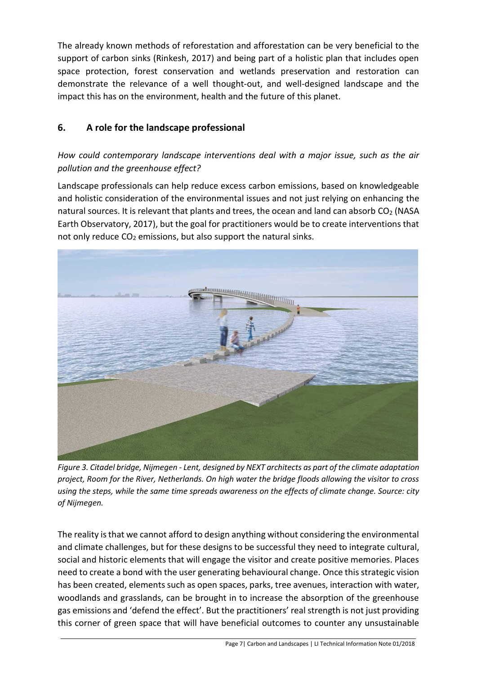The already known methods of reforestation and afforestation can be very beneficial to the support of carbon sinks (Rinkesh, 2017) and being part of a holistic plan that includes open space protection, forest conservation and wetlands preservation and restoration can demonstrate the relevance of a well thought-out, and well-designed landscape and the impact this has on the environment, health and the future of this planet.

# **6. A role for the landscape professional**

#### *How could contemporary landscape interventions deal with a major issue, such as the air pollution and the greenhouse effect?*

Landscape professionals can help reduce excess carbon emissions, based on knowledgeable and holistic consideration of the environmental issues and not just relying on enhancing the natural sources. It is relevant that plants and trees, the ocean and land can absorb  $CO<sub>2</sub>$  (NASA Earth Observatory, 2017), but the goal for practitioners would be to create interventions that not only reduce  $CO<sub>2</sub>$  emissions, but also support the natural sinks.



*Figure 3. Citadel bridge, Nijmegen - Lent, designed by NEXT architects as part of the climate adaptation project, Room for the River, Netherlands. On high water the bridge floods allowing the visitor to cross using the steps, while the same time spreads awareness on the effects of climate change. Source: city of Nijmegen.*

The reality is that we cannot afford to design anything without considering the environmental and climate challenges, but for these designs to be successful they need to integrate cultural, social and historic elements that will engage the visitor and create positive memories. Places need to create a bond with the user generating behavioural change. Once this strategic vision has been created, elements such as open spaces, parks, tree avenues, interaction with water, woodlands and grasslands, can be brought in to increase the absorption of the greenhouse gas emissions and 'defend the effect'. But the practitioners' real strength is not just providing this corner of green space that will have beneficial outcomes to counter any unsustainable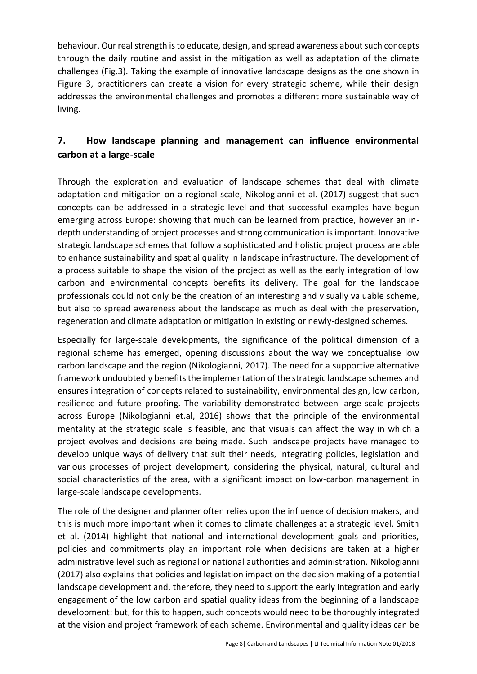behaviour. Our real strength is to educate, design, and spread awareness about such concepts through the daily routine and assist in the mitigation as well as adaptation of the climate challenges (Fig.3). Taking the example of innovative landscape designs as the one shown in Figure 3, practitioners can create a vision for every strategic scheme, while their design addresses the environmental challenges and promotes a different more sustainable way of living.

# **7. How landscape planning and management can influence environmental carbon at a large-scale**

Through the exploration and evaluation of landscape schemes that deal with climate adaptation and mitigation on a regional scale, Nikologianni et al. (2017) suggest that such concepts can be addressed in a strategic level and that successful examples have begun emerging across Europe: showing that much can be learned from practice, however an indepth understanding of project processes and strong communication is important. Innovative strategic landscape schemes that follow a sophisticated and holistic project process are able to enhance sustainability and spatial quality in landscape infrastructure. The development of a process suitable to shape the vision of the project as well as the early integration of low carbon and environmental concepts benefits its delivery. The goal for the landscape professionals could not only be the creation of an interesting and visually valuable scheme, but also to spread awareness about the landscape as much as deal with the preservation, regeneration and climate adaptation or mitigation in existing or newly-designed schemes.

Especially for large-scale developments, the significance of the political dimension of a regional scheme has emerged, opening discussions about the way we conceptualise low carbon landscape and the region (Nikologianni, 2017). The need for a supportive alternative framework undoubtedly benefits the implementation of the strategic landscape schemes and ensures integration of concepts related to sustainability, environmental design, low carbon, resilience and future proofing. The variability demonstrated between large-scale projects across Europe (Nikologianni et.al, 2016) shows that the principle of the environmental mentality at the strategic scale is feasible, and that visuals can affect the way in which a project evolves and decisions are being made. Such landscape projects have managed to develop unique ways of delivery that suit their needs, integrating policies, legislation and various processes of project development, considering the physical, natural, cultural and social characteristics of the area, with a significant impact on low-carbon management in large-scale landscape developments.

The role of the designer and planner often relies upon the influence of decision makers, and this is much more important when it comes to climate challenges at a strategic level. Smith et al. (2014) highlight that national and international development goals and priorities, policies and commitments play an important role when decisions are taken at a higher administrative level such as regional or national authorities and administration. Nikologianni (2017) also explains that policies and legislation impact on the decision making of a potential landscape development and, therefore, they need to support the early integration and early engagement of the low carbon and spatial quality ideas from the beginning of a landscape development: but, for this to happen, such concepts would need to be thoroughly integrated at the vision and project framework of each scheme. Environmental and quality ideas can be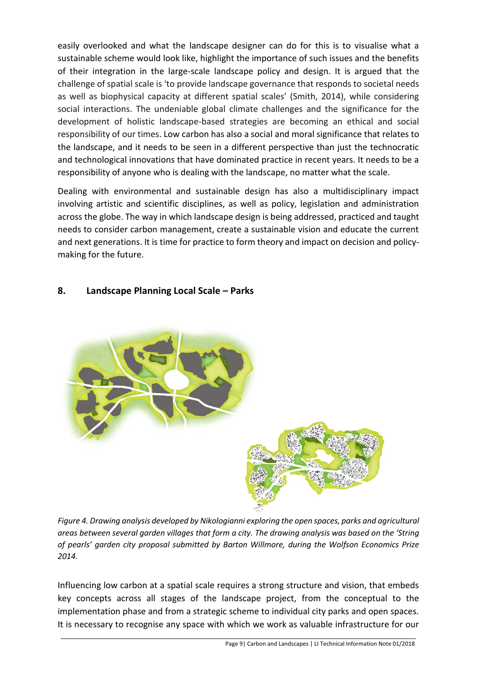easily overlooked and what the landscape designer can do for this is to visualise what a sustainable scheme would look like, highlight the importance of such issues and the benefits of their integration in the large-scale landscape policy and design. It is argued that the challenge of spatial scale is 'to provide landscape governance that responds to societal needs as well as biophysical capacity at different spatial scales' (Smith, 2014), while considering social interactions. The undeniable global climate challenges and the significance for the development of holistic landscape-based strategies are becoming an ethical and social responsibility of our times. Low carbon has also a social and moral significance that relates to the landscape, and it needs to be seen in a different perspective than just the technocratic and technological innovations that have dominated practice in recent years. It needs to be a responsibility of anyone who is dealing with the landscape, no matter what the scale.

Dealing with environmental and sustainable design has also a multidisciplinary impact involving artistic and scientific disciplines, as well as policy, legislation and administration across the globe. The way in which landscape design is being addressed, practiced and taught needs to consider carbon management, create a sustainable vision and educate the current and next generations. It is time for practice to form theory and impact on decision and policymaking for the future.

#### **8. Landscape Planning Local Scale – Parks**



*Figure 4. Drawing analysis developed by Nikologianni exploring the open spaces, parks and agricultural areas between several garden villages that form a city. The drawing analysis was based on the 'String of pearls' garden city proposal submitted by Barton Willmore, during the Wolfson Economics Prize 2014.*

Influencing low carbon at a spatial scale requires a strong structure and vision, that embeds key concepts across all stages of the landscape project, from the conceptual to the implementation phase and from a strategic scheme to individual city parks and open spaces. It is necessary to recognise any space with which we work as valuable infrastructure for our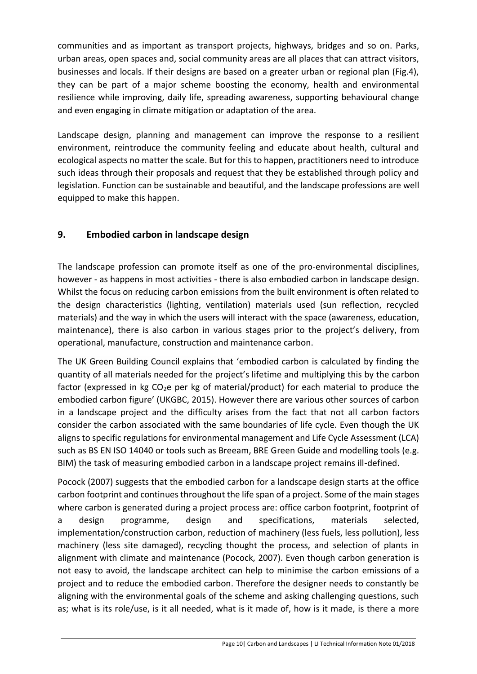communities and as important as transport projects, highways, bridges and so on. Parks, urban areas, open spaces and, social community areas are all places that can attract visitors, businesses and locals. If their designs are based on a greater urban or regional plan (Fig.4), they can be part of a major scheme boosting the economy, health and environmental resilience while improving, daily life, spreading awareness, supporting behavioural change and even engaging in climate mitigation or adaptation of the area.

Landscape design, planning and management can improve the response to a resilient environment, reintroduce the community feeling and educate about health, cultural and ecological aspects no matter the scale. But for this to happen, practitioners need to introduce such ideas through their proposals and request that they be established through policy and legislation. Function can be sustainable and beautiful, and the landscape professions are well equipped to make this happen.

# **9. Embodied carbon in landscape design**

The landscape profession can promote itself as one of the pro-environmental disciplines, however - as happens in most activities - there is also embodied carbon in landscape design. Whilst the focus on reducing carbon emissions from the built environment is often related to the design characteristics (lighting, ventilation) materials used (sun reflection, recycled materials) and the way in which the users will interact with the space (awareness, education, maintenance), there is also carbon in various stages prior to the project's delivery, from operational, manufacture, construction and maintenance carbon.

The UK Green Building Council explains that 'embodied carbon is calculated by finding the quantity of all materials needed for the project's lifetime and multiplying this by the carbon factor (expressed in kg  $CO<sub>2</sub>e$  per kg of material/product) for each material to produce the embodied carbon figure' (UKGBC, 2015). However there are various other sources of carbon in a landscape project and the difficulty arises from the fact that not all carbon factors consider the carbon associated with the same boundaries of life cycle. Even though the UK aligns to specific regulations for environmental management and Life Cycle Assessment (LCA) such as BS EN ISO 14040 or tools such as Breeam, BRE Green Guide and modelling tools (e.g. BIM) the task of measuring embodied carbon in a landscape project remains ill-defined.

Pocock (2007) suggests that the embodied carbon for a landscape design starts at the office carbon footprint and continues throughout the life span of a project. Some of the main stages where carbon is generated during a project process are: office carbon footprint, footprint of a design programme, design and specifications, materials selected, implementation/construction carbon, reduction of machinery (less fuels, less pollution), less machinery (less site damaged), recycling thought the process, and selection of plants in alignment with climate and maintenance (Pocock, 2007). Even though carbon generation is not easy to avoid, the landscape architect can help to minimise the carbon emissions of a project and to reduce the embodied carbon. Therefore the designer needs to constantly be aligning with the environmental goals of the scheme and asking challenging questions, such as; what is its role/use, is it all needed, what is it made of, how is it made, is there a more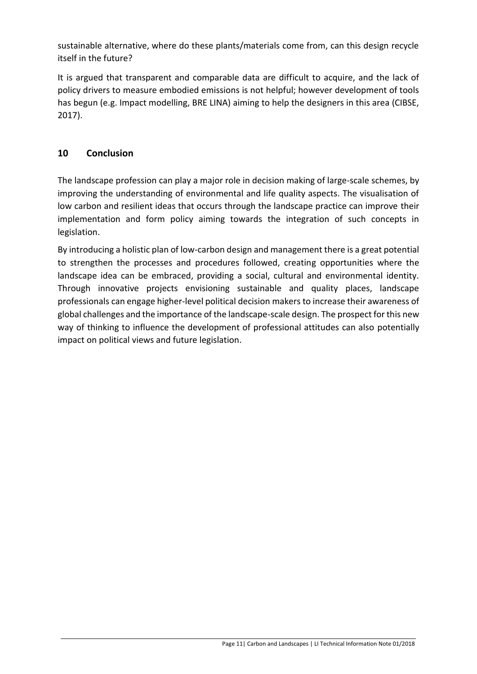sustainable alternative, where do these plants/materials come from, can this design recycle itself in the future?

It is argued that transparent and comparable data are difficult to acquire, and the lack of policy drivers to measure embodied emissions is not helpful; however development of tools has begun (e.g. Impact modelling, BRE LINA) aiming to help the designers in this area (CIBSE, 2017).

# **10 Conclusion**

The landscape profession can play a major role in decision making of large-scale schemes, by improving the understanding of environmental and life quality aspects. The visualisation of low carbon and resilient ideas that occurs through the landscape practice can improve their implementation and form policy aiming towards the integration of such concepts in legislation.

By introducing a holistic plan of low-carbon design and management there is a great potential to strengthen the processes and procedures followed, creating opportunities where the landscape idea can be embraced, providing a social, cultural and environmental identity. Through innovative projects envisioning sustainable and quality places, landscape professionals can engage higher-level political decision makers to increase their awareness of global challenges and the importance of the landscape-scale design. The prospect for this new way of thinking to influence the development of professional attitudes can also potentially impact on political views and future legislation.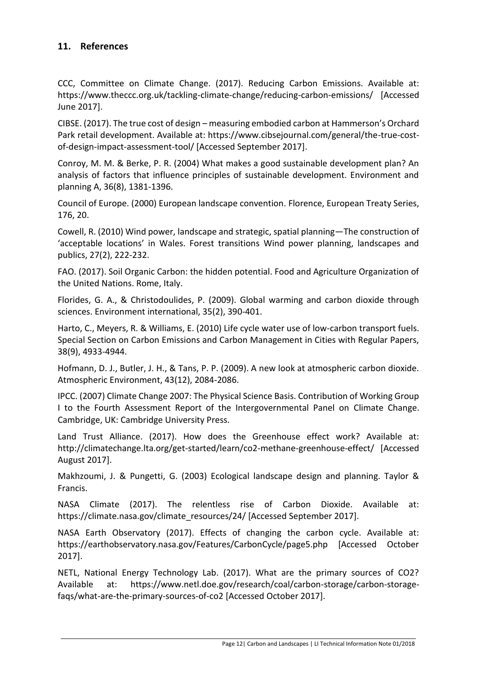#### **11. References**

CCC, Committee on Climate Change. (2017). Reducing Carbon Emissions. Available at: https://www.theccc.org.uk/tackling-climate-change/reducing-carbon-emissions/ [Accessed June 2017].

CIBSE. (2017). The true cost of design – measuring embodied carbon at Hammerson's Orchard Park retail development. Available at: https://www.cibsejournal.com/general/the-true-costof-design-impact-assessment-tool/ [Accessed September 2017].

Conroy, M. M. & Berke, P. R. (2004) What makes a good sustainable development plan? An analysis of factors that influence principles of sustainable development. Environment and planning A, 36(8), 1381-1396.

Council of Europe. (2000) European landscape convention. Florence, European Treaty Series, 176, 20.

Cowell, R. (2010) Wind power, landscape and strategic, spatial planning—The construction of 'acceptable locations' in Wales. Forest transitions Wind power planning, landscapes and publics, 27(2), 222-232.

FAO. (2017). Soil Organic Carbon: the hidden potential. Food and Agriculture Organization of the United Nations. Rome, Italy.

Florides, G. A., & Christodoulides, P. (2009). Global warming and carbon dioxide through sciences. Environment international, 35(2), 390-401.

Harto, C., Meyers, R. & Williams, E. (2010) Life cycle water use of low-carbon transport fuels. Special Section on Carbon Emissions and Carbon Management in Cities with Regular Papers, 38(9), 4933-4944.

Hofmann, D. J., Butler, J. H., & Tans, P. P. (2009). A new look at atmospheric carbon dioxide. Atmospheric Environment, 43(12), 2084-2086.

IPCC. (2007) Climate Change 2007: The Physical Science Basis. Contribution of Working Group I to the Fourth Assessment Report of the Intergovernmental Panel on Climate Change. Cambridge, UK: Cambridge University Press.

Land Trust Alliance. (2017). How does the Greenhouse effect work? Available at: http://climatechange.lta.org/get-started/learn/co2-methane-greenhouse-effect/ [Accessed August 2017].

Makhzoumi, J. & Pungetti, G. (2003) Ecological landscape design and planning. Taylor & Francis.

NASA Climate (2017). The relentless rise of Carbon Dioxide. Available at: https://climate.nasa.gov/climate\_resources/24/ [Accessed September 2017].

NASA Earth Observatory (2017). Effects of changing the carbon cycle. Available at: https://earthobservatory.nasa.gov/Features/CarbonCycle/page5.php [Accessed October 2017].

NETL, National Energy Technology Lab. (2017). What are the primary sources of CO2? Available at: https://www.netl.doe.gov/research/coal/carbon-storage/carbon-storagefaqs/what-are-the-primary-sources-of-co2 [Accessed October 2017].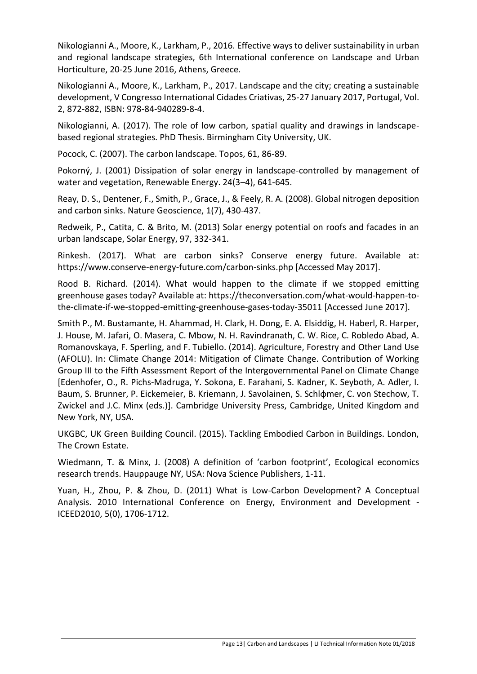Nikologianni A., Moore, K., Larkham, P., 2016. Effective ways to deliver sustainability in urban and regional landscape strategies, 6th International conference on Landscape and Urban Horticulture, 20-25 June 2016, Athens, Greece.

Nikologianni A., Moore, K., Larkham, P., 2017. Landscape and the city; creating a sustainable development, V Congresso International Cidades Criativas, 25-27 January 2017, Portugal, Vol. 2, 872-882, ISBN: 978-84-940289-8-4.

Nikologianni, A. (2017). The role of low carbon, spatial quality and drawings in landscapebased regional strategies. PhD Thesis. Birmingham City University, UK.

Pocock, C. (2007). The carbon landscape. Topos, 61, 86-89.

Pokorný, J. (2001) Dissipation of solar energy in landscape-controlled by management of water and vegetation, Renewable Energy. 24(3–4), 641-645.

Reay, D. S., Dentener, F., Smith, P., Grace, J., & Feely, R. A. (2008). Global nitrogen deposition and carbon sinks. Nature Geoscience, 1(7), 430-437.

Redweik, P., Catita, C. & Brito, M. (2013) Solar energy potential on roofs and facades in an urban landscape, Solar Energy, 97, 332-341.

Rinkesh. (2017). What are carbon sinks? Conserve energy future. Available at: https://www.conserve-energy-future.com/carbon-sinks.php [Accessed May 2017].

Rood B. Richard. (2014). What would happen to the climate if we stopped emitting greenhouse gases today? Available at: https://theconversation.com/what-would-happen-tothe-climate-if-we-stopped-emitting-greenhouse-gases-today-35011 [Accessed June 2017].

Smith P., M. Bustamante, H. Ahammad, H. Clark, H. Dong, E. A. Elsiddig, H. Haberl, R. Harper, J. House, M. Jafari, O. Masera, C. Mbow, N. H. Ravindranath, C. W. Rice, C. Robledo Abad, A. Romanovskaya, F. Sperling, and F. Tubiello. (2014). Agriculture, Forestry and Other Land Use (AFOLU). In: Climate Change 2014: Mitigation of Climate Change. Contribution of Working Group III to the Fifth Assessment Report of the Intergovernmental Panel on Climate Change [Edenhofer, O., R. Pichs-Madruga, Y. Sokona, E. Farahani, S. Kadner, K. Seyboth, A. Adler, I. Baum, S. Brunner, P. Eickemeier, B. Kriemann, J. Savolainen, S. Schlφmer, C. von Stechow, T. Zwickel and J.C. Minx (eds.)]. Cambridge University Press, Cambridge, United Kingdom and New York, NY, USA.

UKGBC, UK Green Building Council. (2015). Tackling Embodied Carbon in Buildings. London, The Crown Estate.

Wiedmann, T. & Minx, J. (2008) A definition of 'carbon footprint', Ecological economics research trends. Hauppauge NY, USA: Nova Science Publishers, 1-11.

Yuan, H., Zhou, P. & Zhou, D. (2011) What is Low-Carbon Development? A Conceptual Analysis. 2010 International Conference on Energy, Environment and Development - ICEED2010, 5(0), 1706-1712.